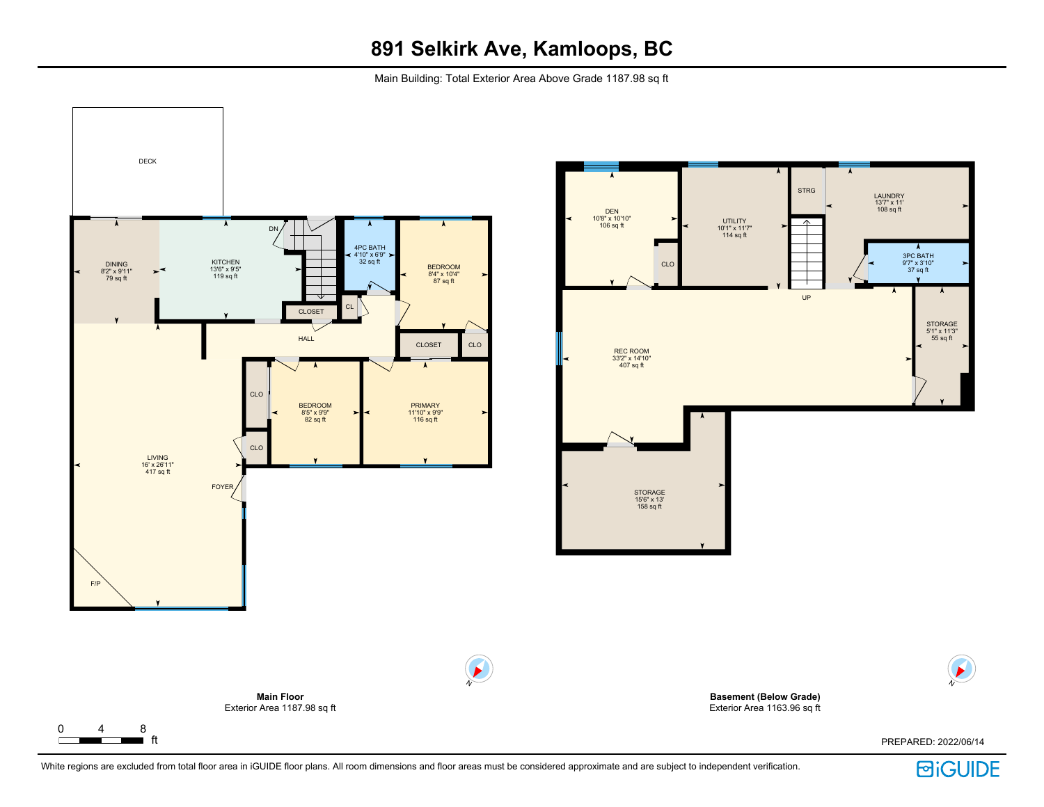# **891 Selkirk Ave, Kamloops, BC**

Main Building: Total Exterior Area Above Grade 1187.98 sq ft



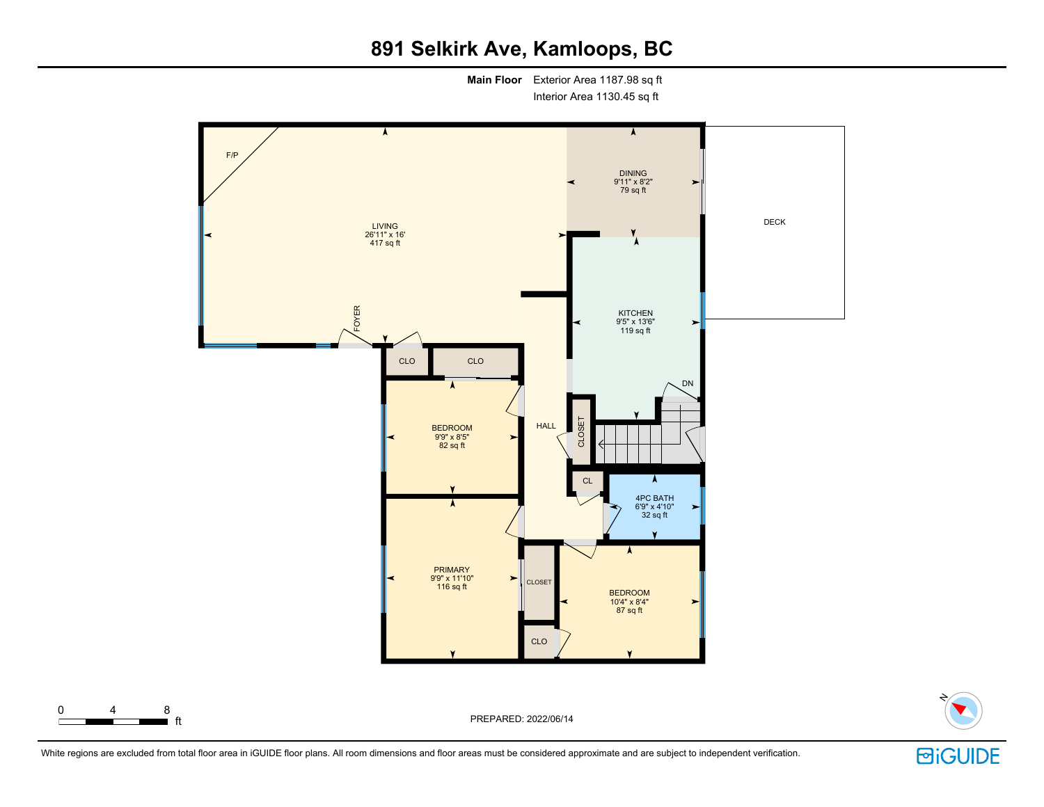## **891 Selkirk Ave, Kamloops, BC**

**Main Floor** Exterior Area 1187.98 sq ft

Interior Area 1130.45 sq ft





■ ft PREPARED: 2022/06/14

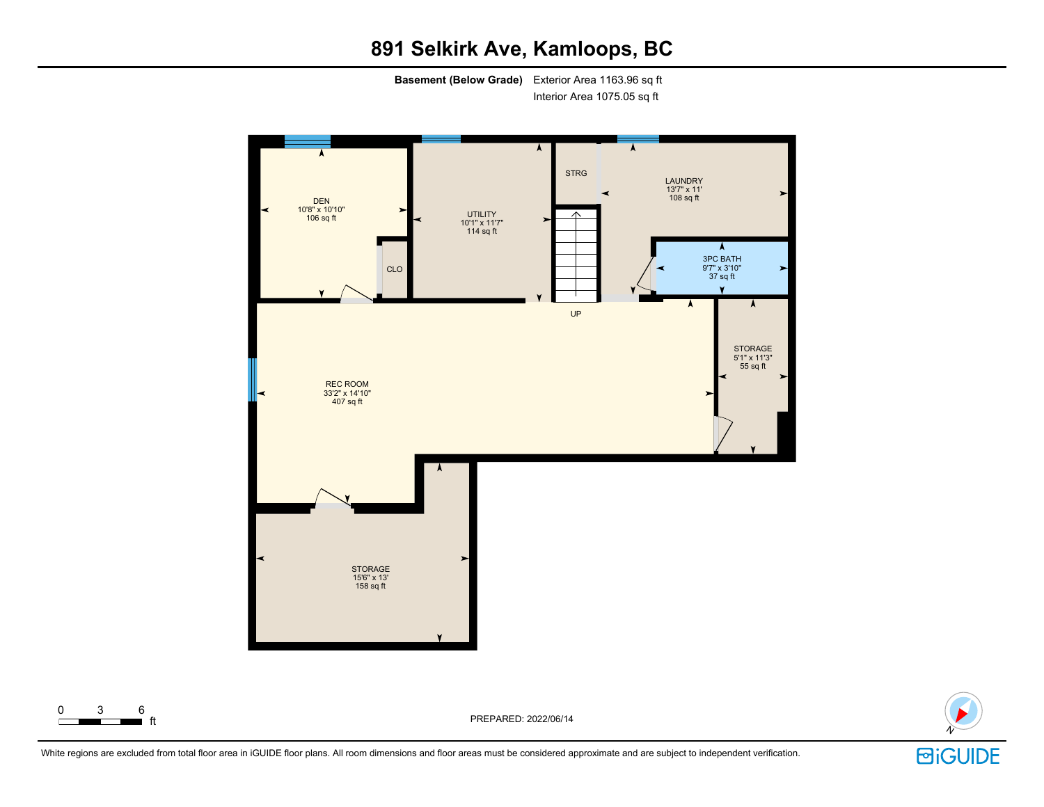## **891 Selkirk Ave, Kamloops, BC**

**Basement (Below Grade)** Exterior Area 1163.96 sq ft

Interior Area 1075.05 sq ft



ft PREPARED: 2022/06/14

![](_page_2_Picture_4.jpeg)

White regions are excluded from total floor area in iGUIDE floor plans. All room dimensions and floor areas must be considered approximate and are subject to independent verification.

 $\begin{array}{ccc} 0 & 3 & 6 \\ \hline \end{array}$  ft

![](_page_2_Picture_6.jpeg)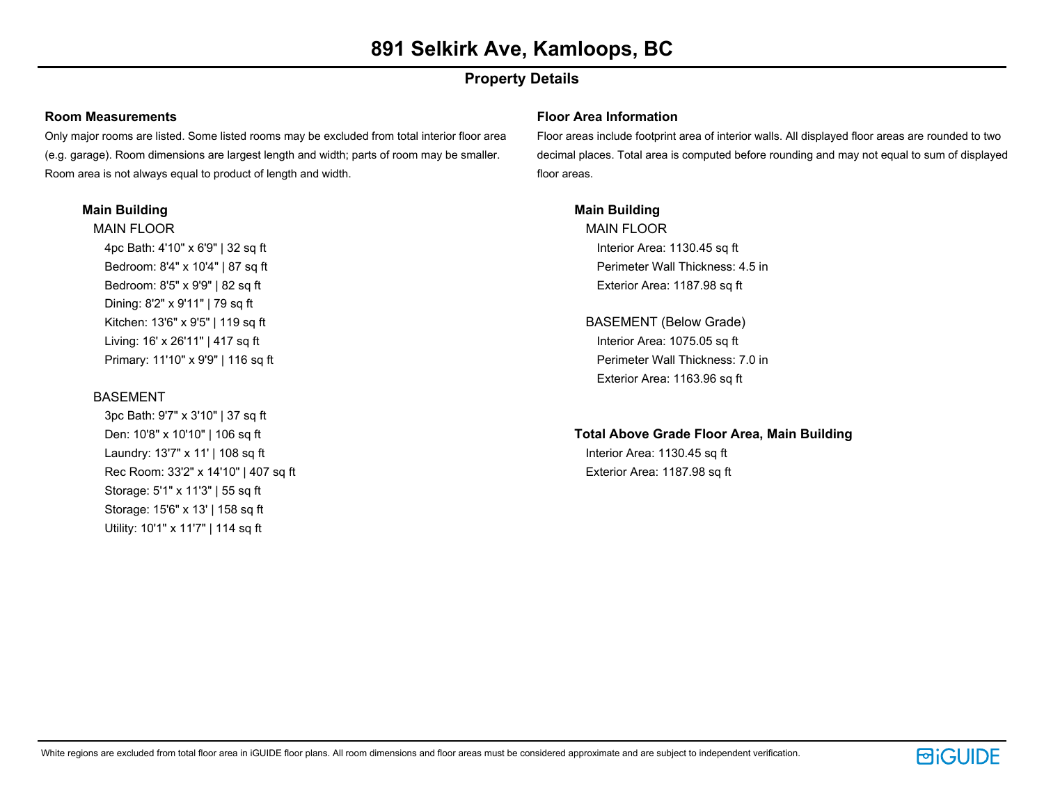## **Property Details**

#### **Room Measurements**

Only major rooms are listed. Some listed rooms may be excluded from total interior floor area (e.g. garage). Room dimensions are largest length and width; parts of room may be smaller. Room area is not always equal to product of length and width.

### **Main Building**

MAIN FLOOR 4pc Bath: 4'10" x 6'9" | 32 sq ft Bedroom: 8'4" x 10'4" | 87 sq ft Bedroom: 8'5" x 9'9" | 82 sq ft Dining: 8'2" x 9'11" | 79 sq ft Kitchen: 13'6" x 9'5" | 119 sq ft Living: 16' x 26'11" | 417 sq ft Primary: 11'10" x 9'9" | 116 sq ft

### **BASEMENT**

3pc Bath: 9'7" x 3'10" | 37 sq ft Den: 10'8" x 10'10" | 106 sq ft Laundry: 13'7" x 11' | 108 sq ft Rec Room: 33'2" x 14'10" | 407 sq ft Storage: 5'1" x 11'3" | 55 sq ft Storage: 15'6" x 13' | 158 sq ft Utility: 10'1" x 11'7" | 114 sq ft

#### **Floor Area Information**

Floor areas include footprint area of interior walls. All displayed floor areas are rounded to two decimal places. Total area is computed before rounding and may not equal to sum of displayed floor areas.

### **Main Building**

MAIN FLOOR Interior Area: 1130.45 sq ft Perimeter Wall Thickness: 4.5 in Exterior Area: 1187.98 sq ft

BASEMENT (Below Grade) Interior Area: 1075.05 sq ft Perimeter Wall Thickness: 7.0 in Exterior Area: 1163.96 sq ft

## **Total Above Grade Floor Area, Main Building**

Interior Area: 1130.45 sq ft Exterior Area: 1187.98 sq ft

![](_page_3_Picture_16.jpeg)